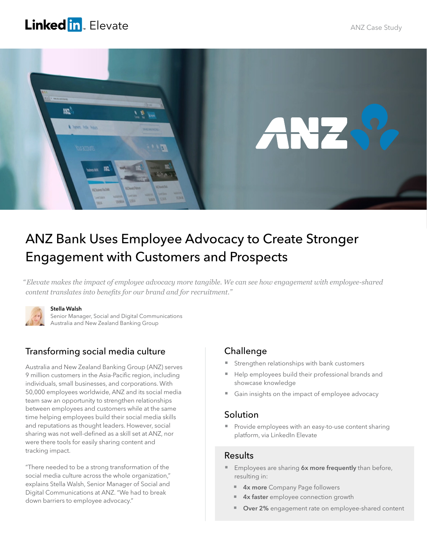# Linked in Elevate



# ANZ Bank Uses Employee Advocacy to Create Stronger Engagement with Customers and Prospects

*" Elevate makes the impact of employee advocacy more tangible. We can see how engagement with employee-shared content translates into benefits for our brand and for recruitment."* 



#### Stella Walsh

Senior Manager, Social and Digital Communications Australia and New Zealand Banking Group

## Transforming social media culture

Australia and New Zealand Banking Group (ANZ) serves 9 million customers in the Asia-Pacific region, including individuals, small businesses, and corporations. With 50,000 employees worldwide, ANZ and its social media team saw an opportunity to strengthen relationships between employees and customers while at the same time helping employees build their social media skills and reputations as thought leaders. However, social sharing was not well-defined as a skill set at ANZ, nor were there tools for easily sharing content and tracking impact.

"There needed to be a strong transformation of the social media culture across the whole organization," explains Stella Walsh, Senior Manager of Social and Digital Communications at ANZ. "We had to break down barriers to employee advocacy."

## Challenge

- Strengthen relationships with bank customers
- Help employees build their professional brands and showcase knowledge
- Gain insights on the impact of employee advocacy

### Solution

**Provide employees with an easy-to-use content sharing** platform, via LinkedIn Elevate

### **Results**

- **Employees are sharing 6x more frequently** than before, resulting in:
	- **4x more** Company Page followers
	- 4x faster employee connection growth
	- Over 2% engagement rate on employee-shared content